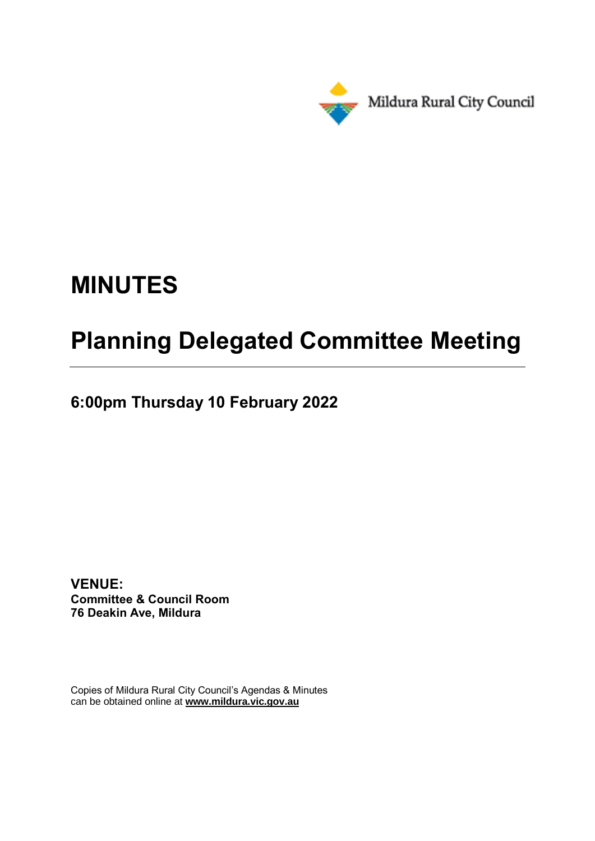

# **MINUTES**

# **Planning Delegated Committee Meeting**

**6:00pm Thursday 10 February 2022**

**VENUE: Committee & Council Room 76 Deakin Ave, Mildura**

Copies of Mildura Rural City Council's Agendas & Minutes can be obtained online at **www.mildura.vic.gov.au**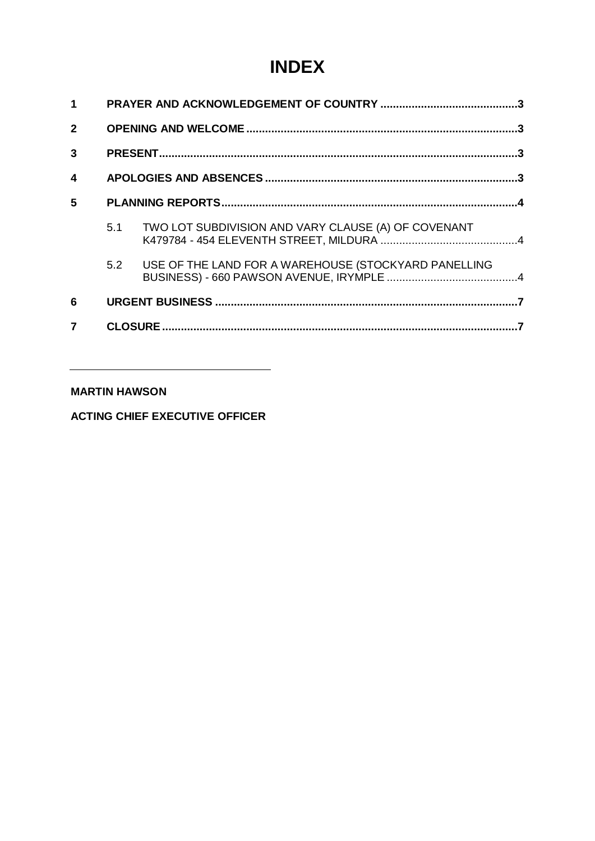## **INDEX**

| $\blacktriangleleft$ |     |                                                      |  |
|----------------------|-----|------------------------------------------------------|--|
| $\mathbf{2}$         |     |                                                      |  |
| $\mathbf{3}$         |     |                                                      |  |
| $\boldsymbol{4}$     |     |                                                      |  |
| 5                    |     |                                                      |  |
|                      | 5.1 | TWO LOT SUBDIVISION AND VARY CLAUSE (A) OF COVENANT  |  |
|                      | 5.2 | USE OF THE LAND FOR A WAREHOUSE (STOCKYARD PANELLING |  |
| 6                    |     |                                                      |  |
| 7                    |     |                                                      |  |

### **MARTIN HAWSON**

**ACTING CHIEF EXECUTIVE OFFICER**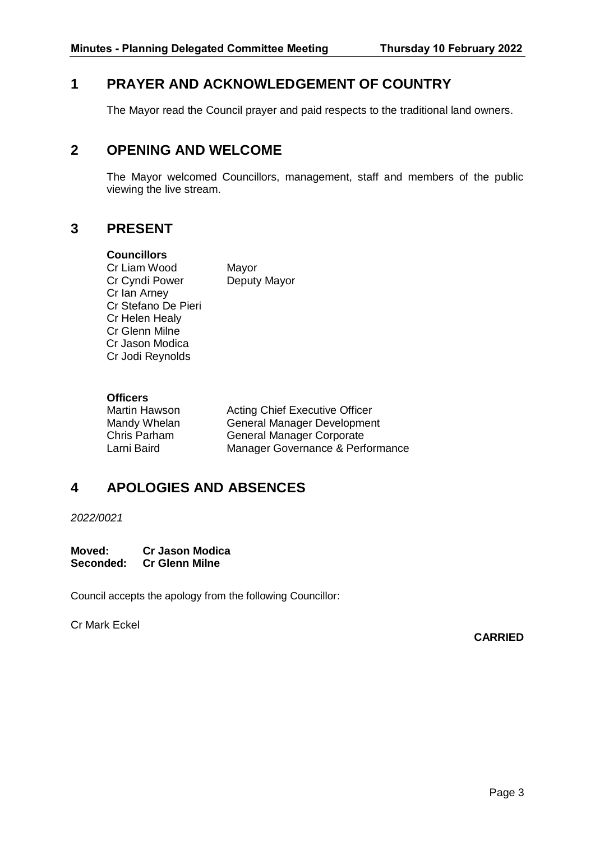## <span id="page-2-0"></span>**1 PRAYER AND ACKNOWLEDGEMENT OF COUNTRY**

The Mayor read the Council prayer and paid respects to the traditional land owners.

## <span id="page-2-1"></span>**2 OPENING AND WELCOME**

The Mayor welcomed Councillors, management, staff and members of the public viewing the live stream.

## <span id="page-2-2"></span>**3 PRESENT**

#### **Councillors**

Cr Liam Wood Mayor Cr Cyndi Power Deputy Mayor Cr Ian Arney Cr Stefano De Pieri Cr Helen Healy Cr Glenn Milne Cr Jason Modica Cr Jodi Reynolds

### **Officers**

Martin Hawson **Acting Chief Executive Officer** Mandy Whelan General Manager Development Chris Parham General Manager Corporate Larni Baird Manager Governance & Performance

## <span id="page-2-3"></span>**4 APOLOGIES AND ABSENCES**

*2022/0021*

**Moved: Cr Jason Modica Seconded: Cr Glenn Milne**

Council accepts the apology from the following Councillor:

Cr Mark Eckel

**CARRIED**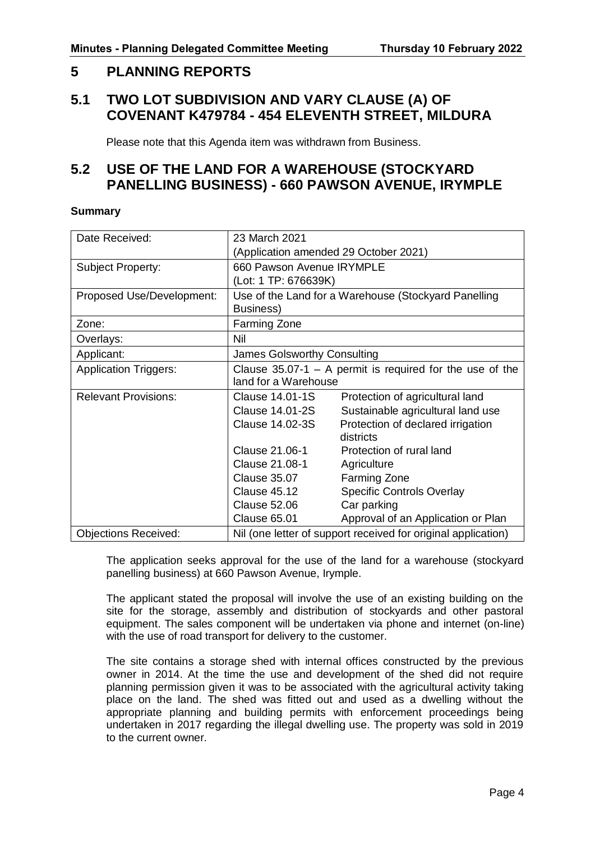## <span id="page-3-0"></span>**5 PLANNING REPORTS**

## <span id="page-3-1"></span>**5.1 TWO LOT SUBDIVISION AND VARY CLAUSE (A) OF COVENANT K479784 - 454 ELEVENTH STREET, MILDURA**

Please note that this Agenda item was withdrawn from Business.

## <span id="page-3-2"></span>**5.2 USE OF THE LAND FOR A WAREHOUSE (STOCKYARD PANELLING BUSINESS) - 660 PAWSON AVENUE, IRYMPLE**

#### **Summary**

| Date Received:               | 23 March 2021                                                 |                                    |  |
|------------------------------|---------------------------------------------------------------|------------------------------------|--|
|                              | (Application amended 29 October 2021)                         |                                    |  |
| Subject Property:            | 660 Pawson Avenue IRYMPLE                                     |                                    |  |
|                              | (Lot: 1 TP: 676639K)                                          |                                    |  |
| Proposed Use/Development:    | Use of the Land for a Warehouse (Stockyard Panelling          |                                    |  |
|                              | Business)                                                     |                                    |  |
| Zone:                        | Farming Zone                                                  |                                    |  |
| Overlays:                    | Nil                                                           |                                    |  |
| Applicant:                   | <b>James Golsworthy Consulting</b>                            |                                    |  |
| <b>Application Triggers:</b> | Clause $35.07-1$ – A permit is required for the use of the    |                                    |  |
|                              | land for a Warehouse                                          |                                    |  |
| <b>Relevant Provisions:</b>  | Clause 14.01-1S                                               | Protection of agricultural land    |  |
|                              | Clause 14.01-2S                                               | Sustainable agricultural land use  |  |
|                              | <b>Clause 14.02-3S</b>                                        | Protection of declared irrigation  |  |
|                              |                                                               | districts                          |  |
|                              | Clause 21.06-1                                                | Protection of rural land           |  |
|                              | Clause 21.08-1                                                | Agriculture                        |  |
|                              | <b>Clause 35.07</b>                                           | <b>Farming Zone</b>                |  |
|                              | <b>Clause 45.12</b>                                           | <b>Specific Controls Overlay</b>   |  |
|                              | <b>Clause 52.06</b>                                           | Car parking                        |  |
|                              | <b>Clause 65.01</b>                                           | Approval of an Application or Plan |  |
| <b>Objections Received:</b>  | Nil (one letter of support received for original application) |                                    |  |

The application seeks approval for the use of the land for a warehouse (stockyard panelling business) at 660 Pawson Avenue, Irymple.

The applicant stated the proposal will involve the use of an existing building on the site for the storage, assembly and distribution of stockyards and other pastoral equipment. The sales component will be undertaken via phone and internet (on-line) with the use of road transport for delivery to the customer.

The site contains a storage shed with internal offices constructed by the previous owner in 2014. At the time the use and development of the shed did not require planning permission given it was to be associated with the agricultural activity taking place on the land. The shed was fitted out and used as a dwelling without the appropriate planning and building permits with enforcement proceedings being undertaken in 2017 regarding the illegal dwelling use. The property was sold in 2019 to the current owner.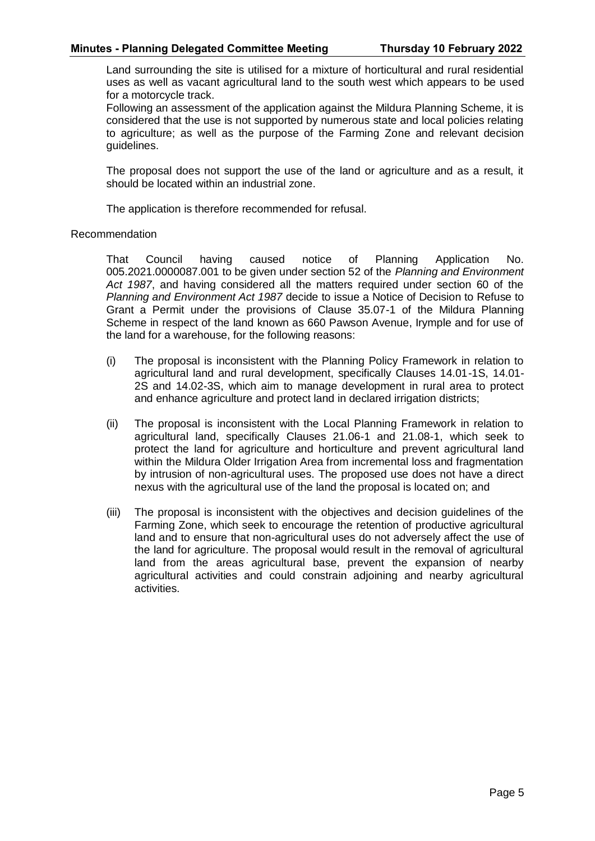Land surrounding the site is utilised for a mixture of horticultural and rural residential uses as well as vacant agricultural land to the south west which appears to be used for a motorcycle track.

Following an assessment of the application against the Mildura Planning Scheme, it is considered that the use is not supported by numerous state and local policies relating to agriculture; as well as the purpose of the Farming Zone and relevant decision guidelines.

The proposal does not support the use of the land or agriculture and as a result, it should be located within an industrial zone.

The application is therefore recommended for refusal.

#### Recommendation

That Council having caused notice of Planning Application No. 005.2021.0000087.001 to be given under section 52 of the *Planning and Environment Act 1987*, and having considered all the matters required under section 60 of the *Planning and Environment Act 1987* decide to issue a Notice of Decision to Refuse to Grant a Permit under the provisions of Clause 35.07-1 of the Mildura Planning Scheme in respect of the land known as 660 Pawson Avenue, Irymple and for use of the land for a warehouse, for the following reasons:

- (i) The proposal is inconsistent with the Planning Policy Framework in relation to agricultural land and rural development, specifically Clauses 14.01-1S, 14.01- 2S and 14.02-3S, which aim to manage development in rural area to protect and enhance agriculture and protect land in declared irrigation districts;
- (ii) The proposal is inconsistent with the Local Planning Framework in relation to agricultural land, specifically Clauses 21.06-1 and 21.08-1, which seek to protect the land for agriculture and horticulture and prevent agricultural land within the Mildura Older Irrigation Area from incremental loss and fragmentation by intrusion of non-agricultural uses. The proposed use does not have a direct nexus with the agricultural use of the land the proposal is located on; and
- (iii) The proposal is inconsistent with the objectives and decision guidelines of the Farming Zone, which seek to encourage the retention of productive agricultural land and to ensure that non-agricultural uses do not adversely affect the use of the land for agriculture. The proposal would result in the removal of agricultural land from the areas agricultural base, prevent the expansion of nearby agricultural activities and could constrain adjoining and nearby agricultural activities.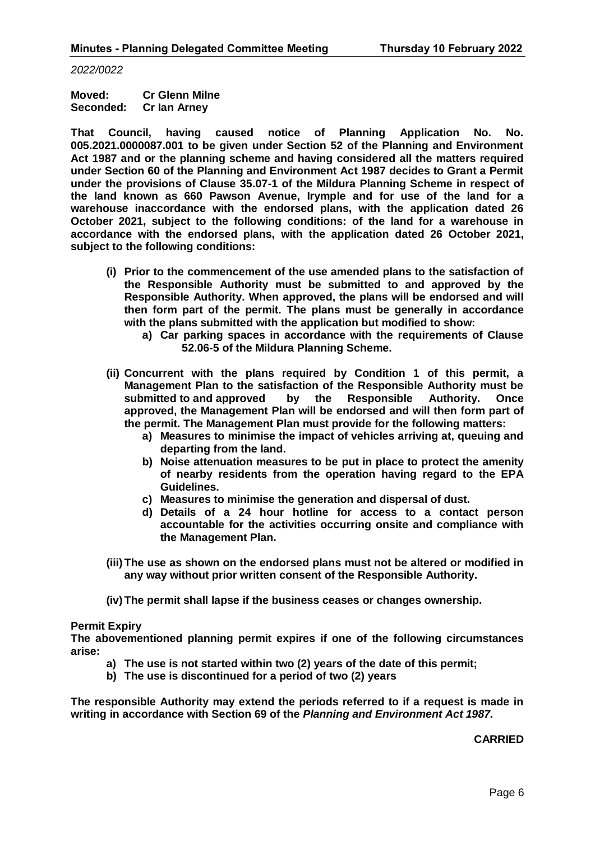*2022/0022*

**Moved: Cr Glenn Milne Seconded: Cr Ian Arney**

**That Council, having caused notice of Planning Application No. No. 005.2021.0000087.001 to be given under Section 52 of the Planning and Environment Act 1987 and or the planning scheme and having considered all the matters required under Section 60 of the Planning and Environment Act 1987 decides to Grant a Permit under the provisions of Clause 35.07-1 of the Mildura Planning Scheme in respect of the land known as 660 Pawson Avenue, Irymple and for use of the land for a warehouse inaccordance with the endorsed plans, with the application dated 26 October 2021, subject to the following conditions: of the land for a warehouse in accordance with the endorsed plans, with the application dated 26 October 2021, subject to the following conditions:**

- **(i) Prior to the commencement of the use amended plans to the satisfaction of the Responsible Authority must be submitted to and approved by the Responsible Authority. When approved, the plans will be endorsed and will then form part of the permit. The plans must be generally in accordance with the plans submitted with the application but modified to show:**
	- **a) Car parking spaces in accordance with the requirements of Clause 52.06-5 of the Mildura Planning Scheme.**
- **(ii) Concurrent with the plans required by Condition 1 of this permit, a Management Plan to the satisfaction of the Responsible Authority must be submitted to and approved by the Responsible Authority. Once approved, the Management Plan will be endorsed and will then form part of the permit. The Management Plan must provide for the following matters:**
	- **a) Measures to minimise the impact of vehicles arriving at, queuing and departing from the land.**
	- **b) Noise attenuation measures to be put in place to protect the amenity of nearby residents from the operation having regard to the EPA Guidelines.**
	- **c) Measures to minimise the generation and dispersal of dust.**
	- **d) Details of a 24 hour hotline for access to a contact person accountable for the activities occurring onsite and compliance with the Management Plan.**
- **(iii)The use as shown on the endorsed plans must not be altered or modified in any way without prior written consent of the Responsible Authority.**
- **(iv)The permit shall lapse if the business ceases or changes ownership.**

#### **Permit Expiry**

**The abovementioned planning permit expires if one of the following circumstances arise:**

- **a) The use is not started within two (2) years of the date of this permit;**
- **b) The use is discontinued for a period of two (2) years**

**The responsible Authority may extend the periods referred to if a request is made in writing in accordance with Section 69 of the** *Planning and Environment Act 1987.*

**CARRIED**